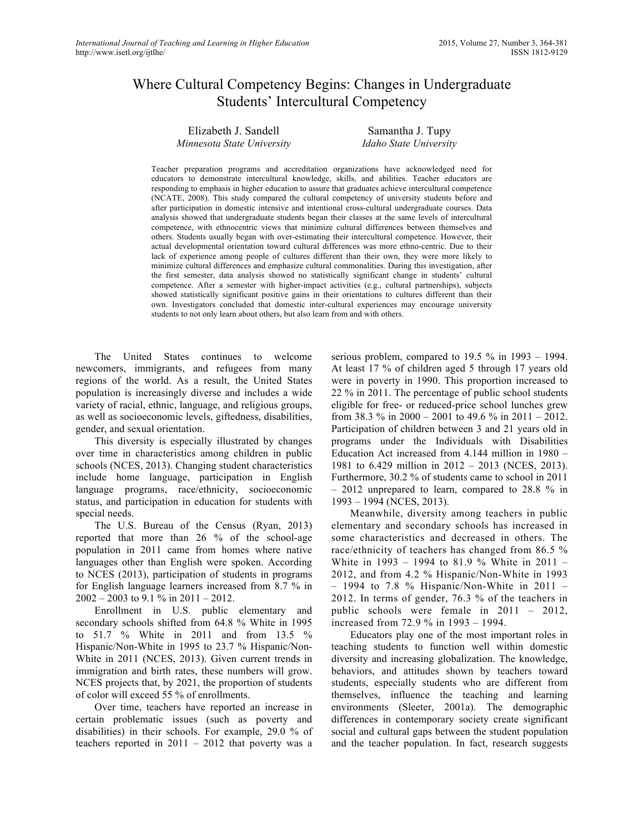# Where Cultural Competency Begins: Changes in Undergraduate Students' Intercultural Competency

| Elizabeth J. Sandell       |  |
|----------------------------|--|
| Minnesota State University |  |

Samantha J. Tupy *Idaho State University*

Teacher preparation programs and accreditation organizations have acknowledged need for educators to demonstrate intercultural knowledge, skills, and abilities. Teacher educators are responding to emphasis in higher education to assure that graduates achieve intercultural competence (NCATE, 2008). This study compared the cultural competency of university students before and after participation in domestic intensive and intentional cross-cultural undergraduate courses. Data analysis showed that undergraduate students began their classes at the same levels of intercultural competence, with ethnocentric views that minimize cultural differences between themselves and others. Students usually began with over-estimating their intercultural competence. However, their actual developmental orientation toward cultural differences was more ethno-centric. Due to their lack of experience among people of cultures different than their own, they were more likely to minimize cultural differences and emphasize cultural commonalities. During this investigation, after the first semester, data analysis showed no statistically significant change in students' cultural competence. After a semester with higher-impact activities (e.g., cultural partnerships), subjects showed statistically significant positive gains in their orientations to cultures different than their own. Investigators concluded that domestic inter-cultural experiences may encourage university students to not only learn about others, but also learn from and with others.

The United States continues to welcome newcomers, immigrants, and refugees from many regions of the world. As a result, the United States population is increasingly diverse and includes a wide variety of racial, ethnic, language, and religious groups, as well as socioeconomic levels, giftedness, disabilities, gender, and sexual orientation.

This diversity is especially illustrated by changes over time in characteristics among children in public schools (NCES, 2013). Changing student characteristics include home language, participation in English language programs, race/ethnicity, socioeconomic status, and participation in education for students with special needs.

The U.S. Bureau of the Census (Ryan, 2013) reported that more than 26 % of the school-age population in 2011 came from homes where native languages other than English were spoken. According to NCES (2013), participation of students in programs for English language learners increased from 8.7 % in 2002 – 2003 to 9.1 % in 2011 – 2012.

Enrollment in U.S. public elementary and secondary schools shifted from 64.8 % White in 1995 to 51.7 % White in 2011 and from 13.5 % Hispanic/Non-White in 1995 to 23.7 % Hispanic/Non-White in 2011 (NCES, 2013). Given current trends in immigration and birth rates, these numbers will grow. NCES projects that, by 2021, the proportion of students of color will exceed 55 % of enrollments.

Over time, teachers have reported an increase in certain problematic issues (such as poverty and disabilities) in their schools. For example, 29.0 % of teachers reported in 2011 – 2012 that poverty was a serious problem, compared to 19.5 % in 1993 – 1994. At least 17 % of children aged 5 through 17 years old were in poverty in 1990. This proportion increased to 22 % in 2011. The percentage of public school students eligible for free- or reduced-price school lunches grew from 38.3 % in 2000 – 2001 to 49.6 % in 2011 – 2012. Participation of children between 3 and 21 years old in programs under the Individuals with Disabilities Education Act increased from 4.144 million in 1980 – 1981 to 6.429 million in 2012 – 2013 (NCES, 2013). Furthermore, 30.2 % of students came to school in 2011 – 2012 unprepared to learn, compared to 28.8 % in 1993 – 1994 (NCES, 2013).

Meanwhile, diversity among teachers in public elementary and secondary schools has increased in some characteristics and decreased in others. The race/ethnicity of teachers has changed from 86.5 % White in 1993 – 1994 to 81.9 % White in 2011 – 2012, and from 4.2 % Hispanic/Non-White in 1993 – 1994 to 7.8 % Hispanic/Non-White in 2011 – 2012. In terms of gender, 76.3 % of the teachers in public schools were female in 2011 – 2012, increased from 72.9 % in 1993 – 1994.

Educators play one of the most important roles in teaching students to function well within domestic diversity and increasing globalization. The knowledge, behaviors, and attitudes shown by teachers toward students, especially students who are different from themselves, influence the teaching and learning environments (Sleeter, 2001a). The demographic differences in contemporary society create significant social and cultural gaps between the student population and the teacher population. In fact, research suggests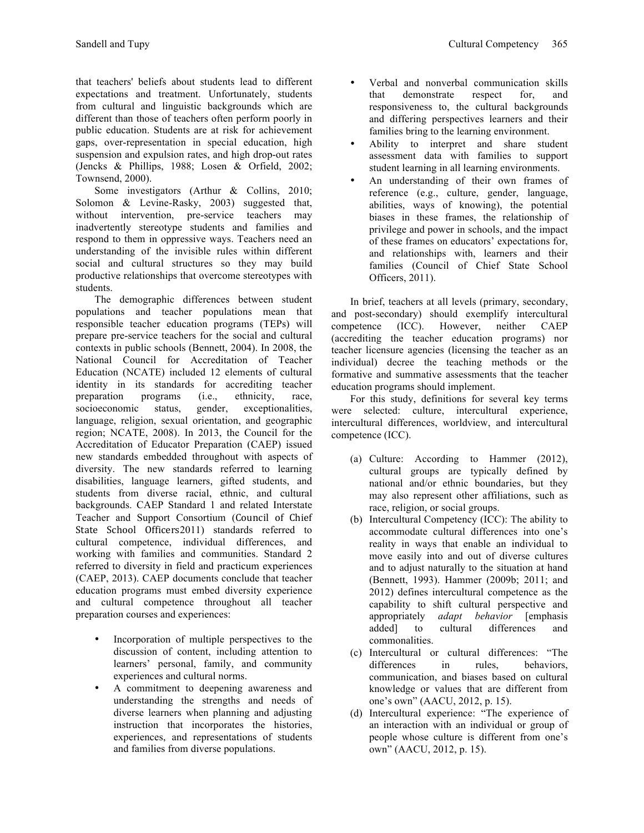that teachers' beliefs about students lead to different expectations and treatment. Unfortunately, students from cultural and linguistic backgrounds which are different than those of teachers often perform poorly in public education. Students are at risk for achievement gaps, over-representation in special education, high suspension and expulsion rates, and high drop-out rates

Townsend, 2000). Some investigators (Arthur & Collins, 2010; Solomon & Levine-Rasky, 2003) suggested that, without intervention, pre-service teachers may inadvertently stereotype students and families and respond to them in oppressive ways. Teachers need an understanding of the invisible rules within different social and cultural structures so they may build productive relationships that overcome stereotypes with students.

(Jencks & Phillips, 1988; Losen & Orfield, 2002;

The demographic differences between student populations and teacher populations mean that responsible teacher education programs (TEPs) will prepare pre-service teachers for the social and cultural contexts in public schools (Bennett, 2004). In 2008, the National Council for Accreditation of Teacher Education (NCATE) included 12 elements of cultural identity in its standards for accrediting teacher preparation programs (i.e., ethnicity, race, socioeconomic status, gender, exceptionalities, language, religion, sexual orientation, and geographic region; NCATE, 2008). In 2013, the Council for the Accreditation of Educator Preparation (CAEP) issued new standards embedded throughout with aspects of diversity. The new standards referred to learning disabilities, language learners, gifted students, and students from diverse racial, ethnic, and cultural backgrounds. CAEP Standard 1 and related Interstate Teacher and Support Consortium (Council of Chief State School Officers2011) standards referred to cultural competence, individual differences, and working with families and communities. Standard 2 referred to diversity in field and practicum experiences (CAEP, 2013). CAEP documents conclude that teacher education programs must embed diversity experience and cultural competence throughout all teacher preparation courses and experiences:

- Incorporation of multiple perspectives to the discussion of content, including attention to learners' personal, family, and community experiences and cultural norms.
- A commitment to deepening awareness and understanding the strengths and needs of diverse learners when planning and adjusting instruction that incorporates the histories, experiences, and representations of students and families from diverse populations.
- Verbal and nonverbal communication skills<br>that demonstrate respect for and demonstrate respect for, and responsiveness to, the cultural backgrounds and differing perspectives learners and their families bring to the learning environment.
- Ability to interpret and share student assessment data with families to support student learning in all learning environments.
- An understanding of their own frames of reference (e.g., culture, gender, language, abilities, ways of knowing), the potential biases in these frames, the relationship of privilege and power in schools, and the impact of these frames on educators' expectations for, and relationships with, learners and their families (Council of Chief State School Officers, 2011).

In brief, teachers at all levels (primary, secondary, and post-secondary) should exemplify intercultural competence (ICC). However, neither CAEP (accrediting the teacher education programs) nor teacher licensure agencies (licensing the teacher as an individual) decree the teaching methods or the formative and summative assessments that the teacher education programs should implement.

For this study, definitions for several key terms were selected: culture, intercultural experience, intercultural differences, worldview, and intercultural competence (ICC).

- (a) Culture: According to Hammer (2012), cultural groups are typically defined by national and/or ethnic boundaries, but they may also represent other affiliations, such as race, religion, or social groups.
- (b) Intercultural Competency (ICC): The ability to accommodate cultural differences into one's reality in ways that enable an individual to move easily into and out of diverse cultures and to adjust naturally to the situation at hand (Bennett, 1993). Hammer (2009b; 2011; and 2012) defines intercultural competence as the capability to shift cultural perspective and appropriately *adapt behavior* [emphasis added] to cultural differences and commonalities.
- (c) Intercultural or cultural differences: "The differences in rules, behaviors, communication, and biases based on cultural knowledge or values that are different from one's own" (AACU, 2012, p. 15).
- (d) Intercultural experience: "The experience of an interaction with an individual or group of people whose culture is different from one's own" (AACU, 2012, p. 15).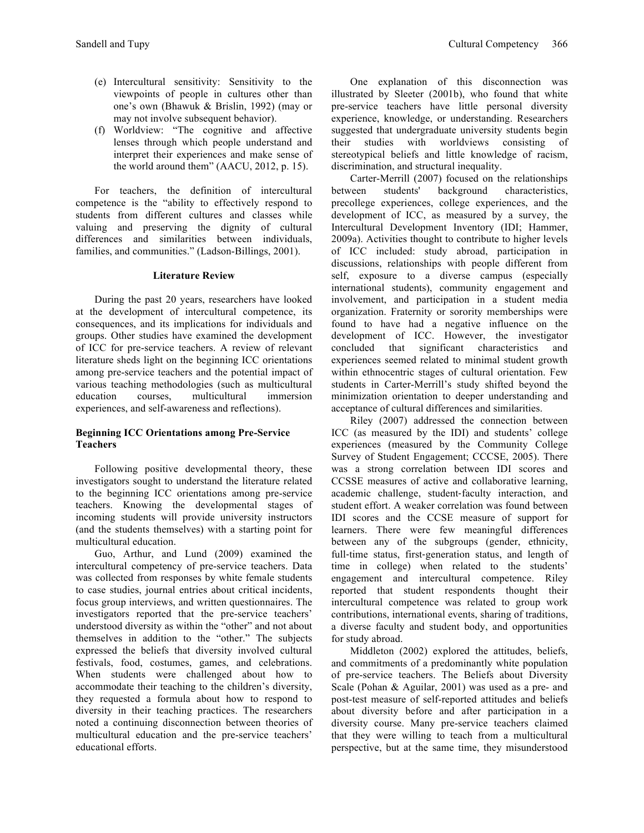- (e) Intercultural sensitivity: Sensitivity to the viewpoints of people in cultures other than one's own (Bhawuk & Brislin, 1992) (may or may not involve subsequent behavior).
- (f) Worldview: "The cognitive and affective lenses through which people understand and interpret their experiences and make sense of the world around them" (AACU, 2012, p. 15).

For teachers, the definition of intercultural competence is the "ability to effectively respond to students from different cultures and classes while valuing and preserving the dignity of cultural differences and similarities between individuals, families, and communities." (Ladson-Billings, 2001).

### **Literature Review**

During the past 20 years, researchers have looked at the development of intercultural competence, its consequences, and its implications for individuals and groups. Other studies have examined the development of ICC for pre-service teachers. A review of relevant literature sheds light on the beginning ICC orientations among pre-service teachers and the potential impact of various teaching methodologies (such as multicultural education courses, multicultural immersion experiences, and self-awareness and reflections).

# **Beginning ICC Orientations among Pre-Service Teachers**

Following positive developmental theory, these investigators sought to understand the literature related to the beginning ICC orientations among pre-service teachers. Knowing the developmental stages of incoming students will provide university instructors (and the students themselves) with a starting point for multicultural education.

Guo, Arthur, and Lund (2009) examined the intercultural competency of pre-service teachers. Data was collected from responses by white female students to case studies, journal entries about critical incidents, focus group interviews, and written questionnaires. The investigators reported that the pre-service teachers' understood diversity as within the "other" and not about themselves in addition to the "other." The subjects expressed the beliefs that diversity involved cultural festivals, food, costumes, games, and celebrations. When students were challenged about how to accommodate their teaching to the children's diversity, they requested a formula about how to respond to diversity in their teaching practices. The researchers noted a continuing disconnection between theories of multicultural education and the pre-service teachers' educational efforts.

One explanation of this disconnection was illustrated by Sleeter (2001b), who found that white pre-service teachers have little personal diversity experience, knowledge, or understanding. Researchers suggested that undergraduate university students begin their studies with worldviews consisting of stereotypical beliefs and little knowledge of racism, discrimination, and structural inequality.

Carter-Merrill (2007) focused on the relationships between students' background characteristics, precollege experiences, college experiences, and the development of ICC, as measured by a survey, the Intercultural Development Inventory (IDI; Hammer, 2009a). Activities thought to contribute to higher levels of ICC included: study abroad, participation in discussions, relationships with people different from self, exposure to a diverse campus (especially international students), community engagement and involvement, and participation in a student media organization. Fraternity or sorority memberships were found to have had a negative influence on the development of ICC. However, the investigator concluded that significant characteristics and experiences seemed related to minimal student growth within ethnocentric stages of cultural orientation. Few students in Carter-Merrill's study shifted beyond the minimization orientation to deeper understanding and acceptance of cultural differences and similarities.

Riley (2007) addressed the connection between ICC (as measured by the IDI) and students' college experiences (measured by the Community College Survey of Student Engagement; CCCSE, 2005). There was a strong correlation between IDI scores and CCSSE measures of active and collaborative learning, academic challenge, student-faculty interaction, and student effort. A weaker correlation was found between IDI scores and the CCSE measure of support for learners. There were few meaningful differences between any of the subgroups (gender, ethnicity, full-time status, first-generation status, and length of time in college) when related to the students' engagement and intercultural competence. Riley reported that student respondents thought their intercultural competence was related to group work contributions, international events, sharing of traditions, a diverse faculty and student body, and opportunities for study abroad.

Middleton (2002) explored the attitudes, beliefs, and commitments of a predominantly white population of pre-service teachers. The Beliefs about Diversity Scale (Pohan & Aguilar, 2001) was used as a pre- and post-test measure of self-reported attitudes and beliefs about diversity before and after participation in a diversity course. Many pre-service teachers claimed that they were willing to teach from a multicultural perspective, but at the same time, they misunderstood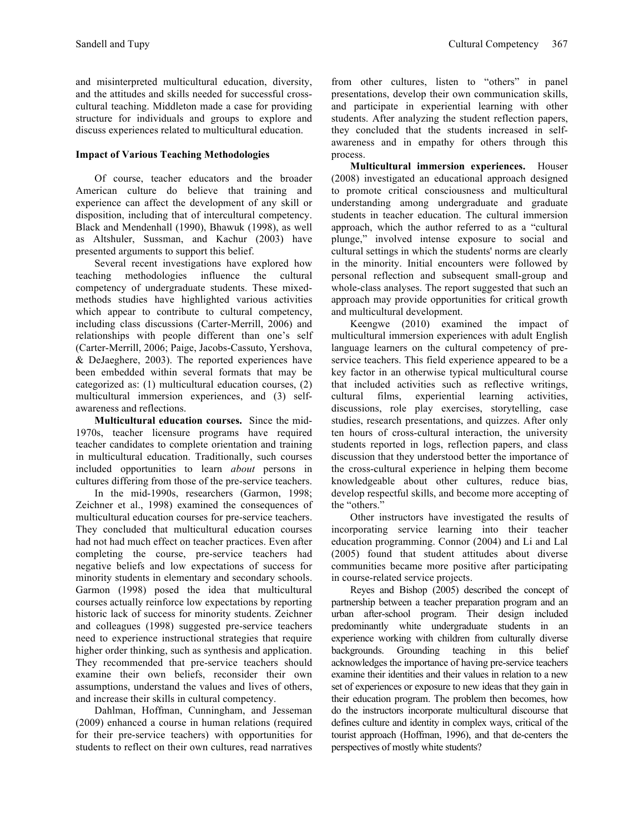and misinterpreted multicultural education, diversity, and the attitudes and skills needed for successful crosscultural teaching. Middleton made a case for providing structure for individuals and groups to explore and discuss experiences related to multicultural education.

# **Impact of Various Teaching Methodologies**

Of course, teacher educators and the broader American culture do believe that training and experience can affect the development of any skill or disposition, including that of intercultural competency. Black and Mendenhall (1990), Bhawuk (1998), as well as Altshuler, Sussman, and Kachur (2003) have presented arguments to support this belief.

Several recent investigations have explored how teaching methodologies influence the cultural competency of undergraduate students. These mixedmethods studies have highlighted various activities which appear to contribute to cultural competency, including class discussions (Carter-Merrill, 2006) and relationships with people different than one's self (Carter-Merrill, 2006; Paige, Jacobs-Cassuto, Yershova, & DeJaeghere, 2003). The reported experiences have been embedded within several formats that may be categorized as: (1) multicultural education courses, (2) multicultural immersion experiences, and (3) selfawareness and reflections.

**Multicultural education courses.** Since the mid-1970s, teacher licensure programs have required teacher candidates to complete orientation and training in multicultural education. Traditionally, such courses included opportunities to learn *about* persons in cultures differing from those of the pre-service teachers.

In the mid-1990s, researchers (Garmon, 1998; Zeichner et al., 1998) examined the consequences of multicultural education courses for pre-service teachers. They concluded that multicultural education courses had not had much effect on teacher practices. Even after completing the course, pre-service teachers had negative beliefs and low expectations of success for minority students in elementary and secondary schools. Garmon (1998) posed the idea that multicultural courses actually reinforce low expectations by reporting historic lack of success for minority students. Zeichner and colleagues (1998) suggested pre-service teachers need to experience instructional strategies that require higher order thinking, such as synthesis and application. They recommended that pre-service teachers should examine their own beliefs, reconsider their own assumptions, understand the values and lives of others, and increase their skills in cultural competency.

Dahlman, Hoffman, Cunningham, and Jesseman (2009) enhanced a course in human relations (required for their pre-service teachers) with opportunities for students to reflect on their own cultures, read narratives

from other cultures, listen to "others" in panel presentations, develop their own communication skills, and participate in experiential learning with other students. After analyzing the student reflection papers, they concluded that the students increased in selfawareness and in empathy for others through this process.

**Multicultural immersion experiences.** Houser (2008) investigated an educational approach designed to promote critical consciousness and multicultural understanding among undergraduate and graduate students in teacher education. The cultural immersion approach, which the author referred to as a "cultural plunge," involved intense exposure to social and cultural settings in which the students' norms are clearly in the minority. Initial encounters were followed by personal reflection and subsequent small-group and whole-class analyses. The report suggested that such an approach may provide opportunities for critical growth and multicultural development.

Keengwe (2010) examined the impact of multicultural immersion experiences with adult English language learners on the cultural competency of preservice teachers. This field experience appeared to be a key factor in an otherwise typical multicultural course that included activities such as reflective writings, cultural films, experiential learning activities, discussions, role play exercises, storytelling, case studies, research presentations, and quizzes. After only ten hours of cross-cultural interaction, the university students reported in logs, reflection papers, and class discussion that they understood better the importance of the cross-cultural experience in helping them become knowledgeable about other cultures, reduce bias, develop respectful skills, and become more accepting of the "others."

Other instructors have investigated the results of incorporating service learning into their teacher education programming. Connor (2004) and Li and Lal (2005) found that student attitudes about diverse communities became more positive after participating in course-related service projects.

Reyes and Bishop (2005) described the concept of partnership between a teacher preparation program and an urban after-school program. Their design included predominantly white undergraduate students in an experience working with children from culturally diverse backgrounds. Grounding teaching in this belief acknowledges the importance of having pre-service teachers examine their identities and their values in relation to a new set of experiences or exposure to new ideas that they gain in their education program. The problem then becomes, how do the instructors incorporate multicultural discourse that defines culture and identity in complex ways, critical of the tourist approach (Hoffman, 1996), and that de-centers the perspectives of mostly white students?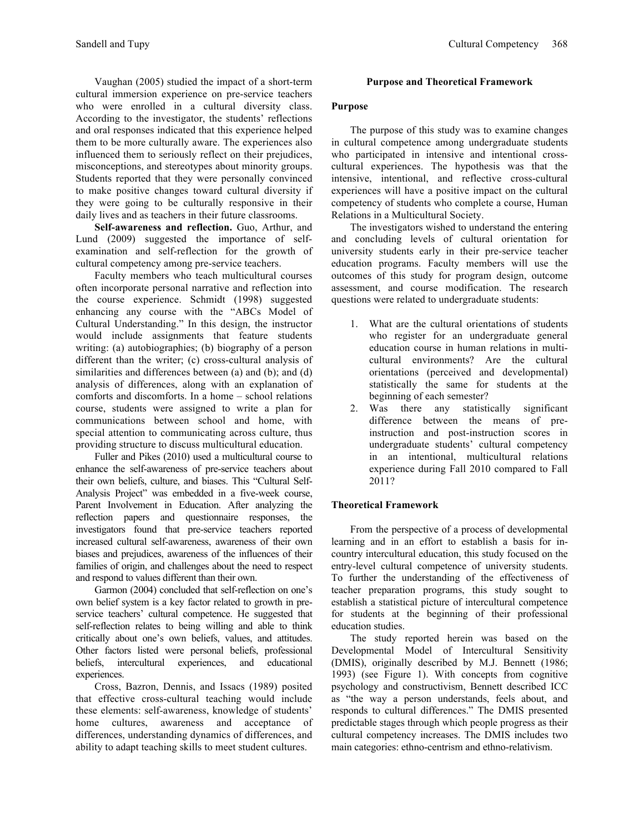Vaughan (2005) studied the impact of a short-term cultural immersion experience on pre-service teachers who were enrolled in a cultural diversity class. According to the investigator, the students' reflections and oral responses indicated that this experience helped them to be more culturally aware. The experiences also influenced them to seriously reflect on their prejudices, misconceptions, and stereotypes about minority groups. Students reported that they were personally convinced to make positive changes toward cultural diversity if they were going to be culturally responsive in their daily lives and as teachers in their future classrooms.

Self-awareness and reflection. Guo, Arthur, and Lund (2009) suggested the importance of selfexamination and self-reflection for the growth of cultural competency among pre-service teachers.

Faculty members who teach multicultural courses often incorporate personal narrative and reflection into the course experience. Schmidt (1998) suggested enhancing any course with the "ABCs Model of Cultural Understanding." In this design, the instructor would include assignments that feature students writing: (a) autobiographies; (b) biography of a person different than the writer; (c) cross-cultural analysis of similarities and differences between (a) and (b); and (d) analysis of differences, along with an explanation of comforts and discomforts. In a home – school relations course, students were assigned to write a plan for communications between school and home, with special attention to communicating across culture, thus providing structure to discuss multicultural education.

Fuller and Pikes (2010) used a multicultural course to enhance the self-awareness of pre-service teachers about their own beliefs, culture, and biases. This "Cultural Self-Analysis Project" was embedded in a five-week course, Parent Involvement in Education. After analyzing the reflection papers and questionnaire responses, the investigators found that pre-service teachers reported increased cultural self-awareness, awareness of their own biases and prejudices, awareness of the influences of their families of origin, and challenges about the need to respect and respond to values different than their own.

Garmon (2004) concluded that self-reflection on one's own belief system is a key factor related to growth in preservice teachers' cultural competence. He suggested that self-reflection relates to being willing and able to think critically about one's own beliefs, values, and attitudes. Other factors listed were personal beliefs, professional beliefs, intercultural experiences, and educational experiences.

Cross, Bazron, Dennis, and Issacs (1989) posited that effective cross-cultural teaching would include these elements: self-awareness, knowledge of students' home cultures, awareness and acceptance of differences, understanding dynamics of differences, and ability to adapt teaching skills to meet student cultures.

# **Purpose and Theoretical Framework**

### **Purpose**

The purpose of this study was to examine changes in cultural competence among undergraduate students who participated in intensive and intentional crosscultural experiences. The hypothesis was that the intensive, intentional, and reflective cross-cultural experiences will have a positive impact on the cultural competency of students who complete a course, Human Relations in a Multicultural Society.

The investigators wished to understand the entering and concluding levels of cultural orientation for university students early in their pre-service teacher education programs. Faculty members will use the outcomes of this study for program design, outcome assessment, and course modification. The research questions were related to undergraduate students:

- 1. What are the cultural orientations of students who register for an undergraduate general education course in human relations in multicultural environments? Are the cultural orientations (perceived and developmental) statistically the same for students at the beginning of each semester?
- 2. Was there any statistically significant difference between the means of preinstruction and post-instruction scores in undergraduate students' cultural competency in an intentional, multicultural relations experience during Fall 2010 compared to Fall 2011?

# **Theoretical Framework**

From the perspective of a process of developmental learning and in an effort to establish a basis for incountry intercultural education, this study focused on the entry-level cultural competence of university students. To further the understanding of the effectiveness of teacher preparation programs, this study sought to establish a statistical picture of intercultural competence for students at the beginning of their professional education studies.

The study reported herein was based on the Developmental Model of Intercultural Sensitivity (DMIS), originally described by M.J. Bennett (1986; 1993) (see Figure 1). With concepts from cognitive psychology and constructivism, Bennett described ICC as "the way a person understands, feels about, and responds to cultural differences." The DMIS presented predictable stages through which people progress as their cultural competency increases. The DMIS includes two main categories: ethno-centrism and ethno-relativism.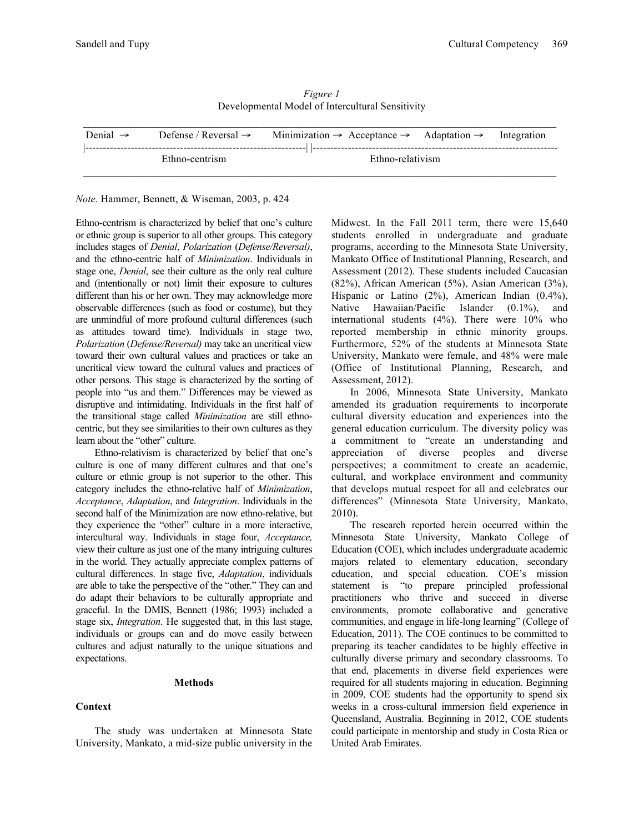| Denial $\rightarrow$ | Defense / Reversal $\rightarrow$ | Minimization $\rightarrow$ Acceptance $\rightarrow$ Adaptation $\rightarrow$ Integration |  |
|----------------------|----------------------------------|------------------------------------------------------------------------------------------|--|
|                      | Ethno-centrism                   | Ethno-relativism                                                                         |  |

*Figure 1* Developmental Model of Intercultural Sensitivity

*Note.* Hammer, Bennett, & Wiseman, 2003, p. 424

Ethno-centrism is characterized by belief that one's culture or ethnic group is superior to all other groups. This category includes stages of *Denial*, *Polarization* (*Defense/Reversal)*, and the ethno-centric half of *Minimization*. Individuals in stage one, *Denial*, see their culture as the only real culture and (intentionally or not) limit their exposure to cultures different than his or her own. They may acknowledge more observable differences (such as food or costume), but they are unmindful of more profound cultural differences (such as attitudes toward time). Individuals in stage two, *Polarization* (*Defense/Reversal)* may take an uncritical view toward their own cultural values and practices or take an uncritical view toward the cultural values and practices of other persons. This stage is characterized by the sorting of people into "us and them." Differences may be viewed as disruptive and intimidating. Individuals in the first half of the transitional stage called *Minimization* are still ethnocentric, but they see similarities to their own cultures as they learn about the "other" culture.

Ethno-relativism is characterized by belief that one's culture is one of many different cultures and that one's culture or ethnic group is not superior to the other. This category includes the ethno-relative half of *Minimization*, *Acceptance*, *Adaptation*, and *Integration*. Individuals in the second half of the Minimization are now ethno-relative, but they experience the "other" culture in a more interactive, intercultural way. Individuals in stage four, *Acceptance,* view their culture as just one of the many intriguing cultures in the world. They actually appreciate complex patterns of cultural differences. In stage five, *Adaptation*, individuals are able to take the perspective of the "other." They can and do adapt their behaviors to be culturally appropriate and graceful. In the DMIS, Bennett (1986; 1993) included a stage six, *Integration*. He suggested that, in this last stage, individuals or groups can and do move easily between cultures and adjust naturally to the unique situations and expectations.

#### **Methods**

#### **Context**

The study was undertaken at Minnesota State University, Mankato, a mid-size public university in the Midwest. In the Fall 2011 term, there were 15,640 students enrolled in undergraduate and graduate programs, according to the Minnesota State University, Mankato Office of Institutional Planning, Research, and Assessment (2012). These students included Caucasian (82%), African American (5%), Asian American (3%), Hispanic or Latino (2%), American Indian (0.4%), Native Hawaiian/Pacific Islander (0.1%), and international students (4%). There were 10% who reported membership in ethnic minority groups. Furthermore, 52% of the students at Minnesota State University, Mankato were female, and 48% were male (Office of Institutional Planning, Research, and Assessment, 2012).

In 2006, Minnesota State University, Mankato amended its graduation requirements to incorporate cultural diversity education and experiences into the general education curriculum. The diversity policy was a commitment to "create an understanding and appreciation of diverse peoples and diverse perspectives; a commitment to create an academic, cultural, and workplace environment and community that develops mutual respect for all and celebrates our differences" (Minnesota State University, Mankato, 2010).

The research reported herein occurred within the Minnesota State University, Mankato College of Education (COE), which includes undergraduate academic majors related to elementary education, secondary education, and special education. COE's mission statement is "to prepare principled professional practitioners who thrive and succeed in diverse environments, promote collaborative and generative communities, and engage in life-long learning" (College of Education, 2011). The COE continues to be committed to preparing its teacher candidates to be highly effective in culturally diverse primary and secondary classrooms. To that end, placements in diverse field experiences were required for all students majoring in education. Beginning in 2009, COE students had the opportunity to spend six weeks in a cross-cultural immersion field experience in Queensland, Australia. Beginning in 2012, COE students could participate in mentorship and study in Costa Rica or United Arab Emirates.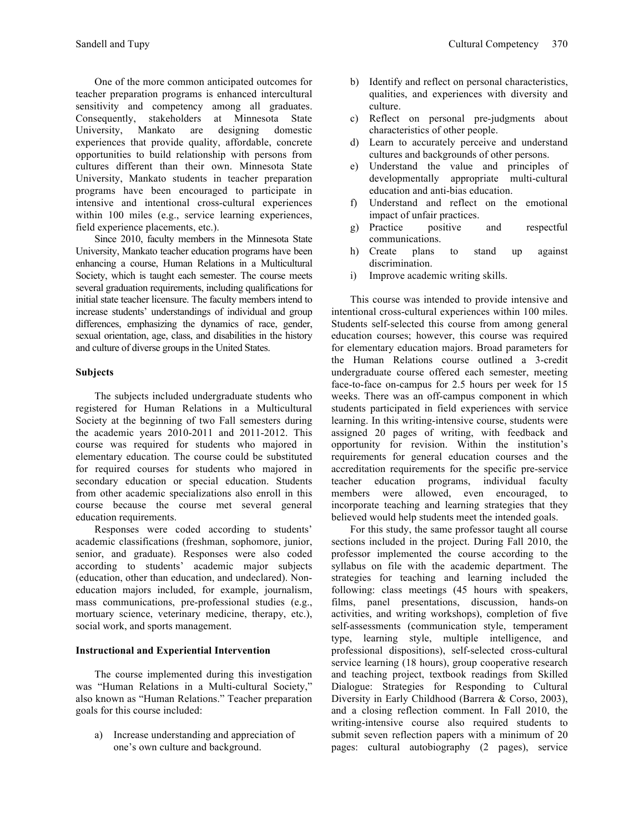One of the more common anticipated outcomes for teacher preparation programs is enhanced intercultural sensitivity and competency among all graduates. Consequently, stakeholders at Minnesota State University, Mankato are designing domestic experiences that provide quality, affordable, concrete opportunities to build relationship with persons from cultures different than their own. Minnesota State University, Mankato students in teacher preparation programs have been encouraged to participate in intensive and intentional cross-cultural experiences within 100 miles (e.g., service learning experiences, field experience placements, etc.).

Since 2010, faculty members in the Minnesota State University, Mankato teacher education programs have been enhancing a course, Human Relations in a Multicultural Society, which is taught each semester. The course meets several graduation requirements, including qualifications for initial state teacher licensure. The faculty members intend to increase students' understandings of individual and group differences, emphasizing the dynamics of race, gender, sexual orientation, age, class, and disabilities in the history and culture of diverse groups in the United States.

### **Subjects**

The subjects included undergraduate students who registered for Human Relations in a Multicultural Society at the beginning of two Fall semesters during the academic years 2010-2011 and 2011-2012. This course was required for students who majored in elementary education. The course could be substituted for required courses for students who majored in secondary education or special education. Students from other academic specializations also enroll in this course because the course met several general education requirements.

Responses were coded according to students' academic classifications (freshman, sophomore, junior, senior, and graduate). Responses were also coded according to students' academic major subjects (education, other than education, and undeclared). Noneducation majors included, for example, journalism, mass communications, pre-professional studies (e.g., mortuary science, veterinary medicine, therapy, etc.), social work, and sports management.

# **Instructional and Experiential Intervention**

The course implemented during this investigation was "Human Relations in a Multi-cultural Society," also known as "Human Relations." Teacher preparation goals for this course included:

a) Increase understanding and appreciation of one's own culture and background.

- b) Identify and reflect on personal characteristics, qualities, and experiences with diversity and culture.
- c) Reflect on personal pre-judgments about characteristics of other people.
- d) Learn to accurately perceive and understand cultures and backgrounds of other persons.
- e) Understand the value and principles of developmentally appropriate multi-cultural education and anti-bias education.
- f) Understand and reflect on the emotional impact of unfair practices.
- g) Practice positive and respectful communications.
- h) Create plans to stand up against discrimination.
- i) Improve academic writing skills.

This course was intended to provide intensive and intentional cross-cultural experiences within 100 miles. Students self-selected this course from among general education courses; however, this course was required for elementary education majors. Broad parameters for the Human Relations course outlined a 3-credit undergraduate course offered each semester, meeting face-to-face on-campus for 2.5 hours per week for 15 weeks. There was an off-campus component in which students participated in field experiences with service learning. In this writing-intensive course, students were assigned 20 pages of writing, with feedback and opportunity for revision. Within the institution's requirements for general education courses and the accreditation requirements for the specific pre-service teacher education programs, individual faculty members were allowed, even encouraged, to incorporate teaching and learning strategies that they believed would help students meet the intended goals.

For this study, the same professor taught all course sections included in the project. During Fall 2010, the professor implemented the course according to the syllabus on file with the academic department. The strategies for teaching and learning included the following: class meetings (45 hours with speakers, films, panel presentations, discussion, hands-on activities, and writing workshops), completion of five self-assessments (communication style, temperament type, learning style, multiple intelligence, and professional dispositions), self-selected cross-cultural service learning (18 hours), group cooperative research and teaching project, textbook readings from Skilled Dialogue: Strategies for Responding to Cultural Diversity in Early Childhood (Barrera & Corso, 2003), and a closing reflection comment. In Fall 2010, the writing-intensive course also required students to submit seven reflection papers with a minimum of 20 pages: cultural autobiography (2 pages), service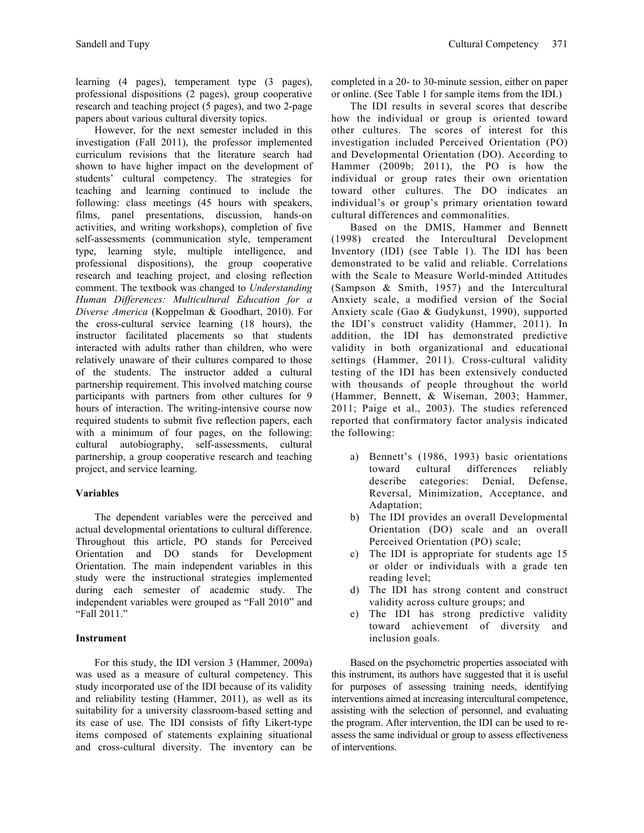learning (4 pages), temperament type (3 pages), professional dispositions (2 pages), group cooperative research and teaching project (5 pages), and two 2-page papers about various cultural diversity topics.

However, for the next semester included in this investigation (Fall 2011), the professor implemented curriculum revisions that the literature search had shown to have higher impact on the development of students' cultural competency. The strategies for teaching and learning continued to include the following: class meetings (45 hours with speakers, films, panel presentations, discussion, hands-on activities, and writing workshops), completion of five self-assessments (communication style, temperament type, learning style, multiple intelligence, and professional dispositions), the group cooperative research and teaching project, and closing reflection comment. The textbook was changed to *Understanding Human Differences: Multicultural Education for a Diverse America* (Koppelman & Goodhart, 2010). For the cross-cultural service learning (18 hours), the instructor facilitated placements so that students interacted with adults rather than children, who were relatively unaware of their cultures compared to those of the students. The instructor added a cultural partnership requirement. This involved matching course participants with partners from other cultures for 9 hours of interaction. The writing-intensive course now required students to submit five reflection papers, each with a minimum of four pages, on the following: cultural autobiography, self-assessments, cultural partnership, a group cooperative research and teaching project, and service learning.

# **Variables**

The dependent variables were the perceived and actual developmental orientations to cultural difference. Throughout this article, PO stands for Perceived Orientation and DO stands for Development Orientation. The main independent variables in this study were the instructional strategies implemented during each semester of academic study. The independent variables were grouped as "Fall 2010" and "Fall 2011."

# **Instrument**

For this study, the IDI version 3 (Hammer, 2009a) was used as a measure of cultural competency. This study incorporated use of the IDI because of its validity and reliability testing (Hammer, 2011), as well as its suitability for a university classroom-based setting and its ease of use. The IDI consists of fifty Likert-type items composed of statements explaining situational and cross-cultural diversity. The inventory can be

completed in a 20- to 30-minute session, either on paper or online. (See Table 1 for sample items from the IDI.)

The IDI results in several scores that describe how the individual or group is oriented toward other cultures. The scores of interest for this investigation included Perceived Orientation (PO) and Developmental Orientation (DO). According to Hammer (2009b; 2011), the PO is how the individual or group rates their own orientation toward other cultures. The DO indicates an individual's or group's primary orientation toward cultural differences and commonalities.

Based on the DMIS, Hammer and Bennett (1998) created the Intercultural Development Inventory (IDI) (see Table 1). The IDI has been demonstrated to be valid and reliable. Correlations with the Scale to Measure World-minded Attitudes (Sampson & Smith, 1957) and the Intercultural Anxiety scale, a modified version of the Social Anxiety scale (Gao & Gudykunst, 1990), supported the IDI's construct validity (Hammer, 2011). In addition, the IDI has demonstrated predictive validity in both organizational and educational settings (Hammer, 2011). Cross-cultural validity testing of the IDI has been extensively conducted with thousands of people throughout the world (Hammer, Bennett, & Wiseman, 2003; Hammer, 2011; Paige et al., 2003). The studies referenced reported that confirmatory factor analysis indicated the following:

- a) Bennett's (1986, 1993) basic orientations toward cultural differences reliably describe categories: Denial, Defense, Reversal, Minimization, Acceptance, and Adaptation;
- b) The IDI provides an overall Developmental Orientation (DO) scale and an overall Perceived Orientation (PO) scale;
- c) The IDI is appropriate for students age 15 or older or individuals with a grade ten reading level;
- d) The IDI has strong content and construct validity across culture groups; and
- e) The IDI has strong predictive validity toward achievement of diversity and inclusion goals.

Based on the psychometric properties associated with this instrument, its authors have suggested that it is useful for purposes of assessing training needs, identifying interventions aimed at increasing intercultural competence, assisting with the selection of personnel, and evaluating the program. After intervention, the IDI can be used to reassess the same individual or group to assess effectiveness of interventions.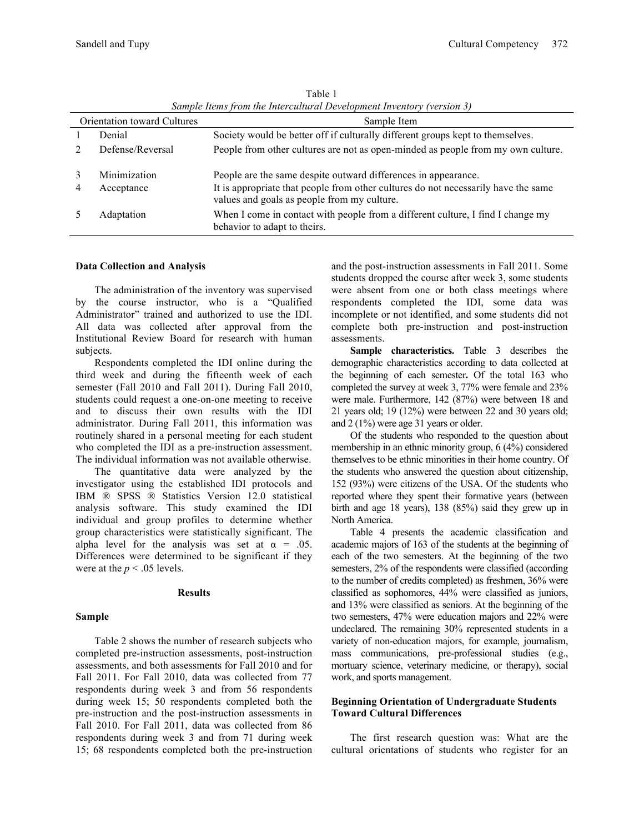|                                    | $\sim$           |                                                                                                                                   |  |  |  |  |  |
|------------------------------------|------------------|-----------------------------------------------------------------------------------------------------------------------------------|--|--|--|--|--|
| <b>Orientation toward Cultures</b> |                  | Sample Item                                                                                                                       |  |  |  |  |  |
|                                    | Denial           | Society would be better off if culturally different groups kept to themselves.                                                    |  |  |  |  |  |
|                                    | Defense/Reversal | People from other cultures are not as open-minded as people from my own culture.                                                  |  |  |  |  |  |
|                                    | Minimization     | People are the same despite outward differences in appearance.                                                                    |  |  |  |  |  |
|                                    | Acceptance       | It is appropriate that people from other cultures do not necessarily have the same<br>values and goals as people from my culture. |  |  |  |  |  |
|                                    | Adaptation       | When I come in contact with people from a different culture, I find I change my<br>behavior to adapt to theirs.                   |  |  |  |  |  |

Table 1 *Sample Items from the Intercultural Development Inventory (version 3)*

#### **Data Collection and Analysis**

The administration of the inventory was supervised by the course instructor, who is a "Qualified Administrator" trained and authorized to use the IDI. All data was collected after approval from the Institutional Review Board for research with human subjects.

Respondents completed the IDI online during the third week and during the fifteenth week of each semester (Fall 2010 and Fall 2011). During Fall 2010, students could request a one-on-one meeting to receive and to discuss their own results with the IDI administrator. During Fall 2011, this information was routinely shared in a personal meeting for each student who completed the IDI as a pre-instruction assessment. The individual information was not available otherwise.

The quantitative data were analyzed by the investigator using the established IDI protocols and IBM ® SPSS ® Statistics Version 12.0 statistical analysis software. This study examined the IDI individual and group profiles to determine whether group characteristics were statistically significant. The alpha level for the analysis was set at  $\alpha = .05$ . Differences were determined to be significant if they were at the  $p < .05$  levels.

#### **Results**

#### **Sample**

Table 2 shows the number of research subjects who completed pre-instruction assessments, post-instruction assessments, and both assessments for Fall 2010 and for Fall 2011. For Fall 2010, data was collected from 77 respondents during week 3 and from 56 respondents during week 15; 50 respondents completed both the pre-instruction and the post-instruction assessments in Fall 2010. For Fall 2011, data was collected from 86 respondents during week 3 and from 71 during week 15; 68 respondents completed both the pre-instruction and the post-instruction assessments in Fall 2011. Some students dropped the course after week 3, some students were absent from one or both class meetings where respondents completed the IDI, some data was incomplete or not identified, and some students did not complete both pre-instruction and post-instruction assessments.

**Sample characteristics.** Table 3 describes the demographic characteristics according to data collected at the beginning of each semester**.** Of the total 163 who completed the survey at week 3, 77% were female and 23% were male. Furthermore, 142 (87%) were between 18 and 21 years old; 19 (12%) were between 22 and 30 years old; and 2 (1%) were age 31 years or older.

Of the students who responded to the question about membership in an ethnic minority group, 6 (4%) considered themselves to be ethnic minorities in their home country. Of the students who answered the question about citizenship, 152 (93%) were citizens of the USA. Of the students who reported where they spent their formative years (between birth and age 18 years), 138 (85%) said they grew up in North America.

Table 4 presents the academic classification and academic majors of 163 of the students at the beginning of each of the two semesters. At the beginning of the two semesters, 2% of the respondents were classified (according to the number of credits completed) as freshmen, 36% were classified as sophomores, 44% were classified as juniors, and 13% were classified as seniors. At the beginning of the two semesters, 47% were education majors and 22% were undeclared. The remaining 30% represented students in a variety of non-education majors, for example, journalism, mass communications, pre-professional studies (e.g., mortuary science, veterinary medicine, or therapy), social work, and sports management.

### **Beginning Orientation of Undergraduate Students Toward Cultural Differences**

The first research question was: What are the cultural orientations of students who register for an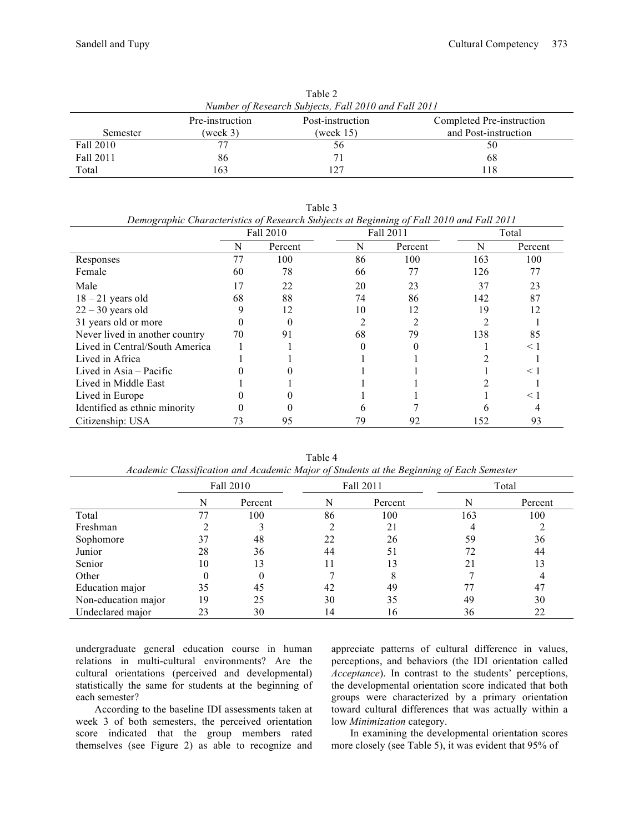| Table 2                                                          |          |           |                      |  |  |  |  |  |  |
|------------------------------------------------------------------|----------|-----------|----------------------|--|--|--|--|--|--|
| Number of Research Subjects, Fall 2010 and Fall 2011             |          |           |                      |  |  |  |  |  |  |
| Pre-instruction<br>Post-instruction<br>Completed Pre-instruction |          |           |                      |  |  |  |  |  |  |
| Semester                                                         | (week 3) | (week 15) | and Post-instruction |  |  |  |  |  |  |
| Fall 2010                                                        | 77       | 56        | 50                   |  |  |  |  |  |  |
| Fall 2011                                                        | 86       |           | 68                   |  |  |  |  |  |  |
| Total                                                            | 163      |           | 118                  |  |  |  |  |  |  |

Table 3

|                                | Demographic Characteristics of Research Subjects at Degining of Patt 2010 and Patt 2011<br>Fall 2010 |         |    | Fall 2011 |     | Total    |
|--------------------------------|------------------------------------------------------------------------------------------------------|---------|----|-----------|-----|----------|
|                                | N                                                                                                    | Percent | N  | Percent   | N   | Percent  |
| Responses                      | 77                                                                                                   | 100     | 86 | 100       | 163 | 100      |
| Female                         | 60                                                                                                   | 78      | 66 | 77        | 126 | 77       |
| Male                           | 17                                                                                                   | 22      | 20 | 23        | 37  | 23       |
| $18 - 21$ years old            | 68                                                                                                   | 88      | 74 | 86        | 142 | 87       |
| $22 - 30$ years old            |                                                                                                      | 12      | 10 | 12        | 19  | 12       |
| 31 years old or more           |                                                                                                      |         |    |           |     |          |
| Never lived in another country | 70                                                                                                   | 91      | 68 | 79        | 138 | 85       |
| Lived in Central/South America |                                                                                                      |         |    |           |     | $\leq 1$ |
| Lived in Africa                |                                                                                                      |         |    |           |     |          |
| Lived in Asia – Pacific        |                                                                                                      |         |    |           |     | $\leq 1$ |
| Lived in Middle East           |                                                                                                      |         |    |           |     |          |
| Lived in Europe                |                                                                                                      |         |    |           |     | $\leq 1$ |
| Identified as ethnic minority  |                                                                                                      |         | n  |           |     |          |
| Citizenship: USA               | 73                                                                                                   | 95      | 79 | 92        | 152 | 93       |

*Demographic Characteristics of Research Subjects at Beginning of Fall 2010 and Fall 2011*

|                     | Fall 2010 |          |    | Fall 2011 | Total |         |  |
|---------------------|-----------|----------|----|-----------|-------|---------|--|
|                     | N         | Percent  | N  | Percent   | N     | Percent |  |
| Total               |           | 100      | 86 | 100       | 163   | 100     |  |
| Freshman            |           |          |    | 21        |       |         |  |
| Sophomore           |           | 48       | 22 | 26        | 59    | 36      |  |
| Junior              | 28        | 36       | 44 | 51        | 72    | 44      |  |
| Senior              | 10        | 13       | 11 | 13        | 21    | 13      |  |
| Other               |           | $\theta$ |    |           |       |         |  |
| Education major     | 35        | 45       | 42 | 49        |       | 47      |  |
| Non-education major | 19        | 25       | 30 | 35        | 49    | 30      |  |
| Undeclared major    | 23        | 30       | 14 | 16        | 36    | 22      |  |

Table 4 *Academic Classification and Academic Major of Students at the Beginning of Each Semester*

undergraduate general education course in human relations in multi-cultural environments? Are the cultural orientations (perceived and developmental) statistically the same for students at the beginning of each semester?

According to the baseline IDI assessments taken at week 3 of both semesters, the perceived orientation score indicated that the group members rated themselves (see Figure 2) as able to recognize and

appreciate patterns of cultural difference in values, perceptions, and behaviors (the IDI orientation called *Acceptance*). In contrast to the students' perceptions, the developmental orientation score indicated that both groups were characterized by a primary orientation toward cultural differences that was actually within a low *Minimization* category.

In examining the developmental orientation scores more closely (see Table 5), it was evident that 95% of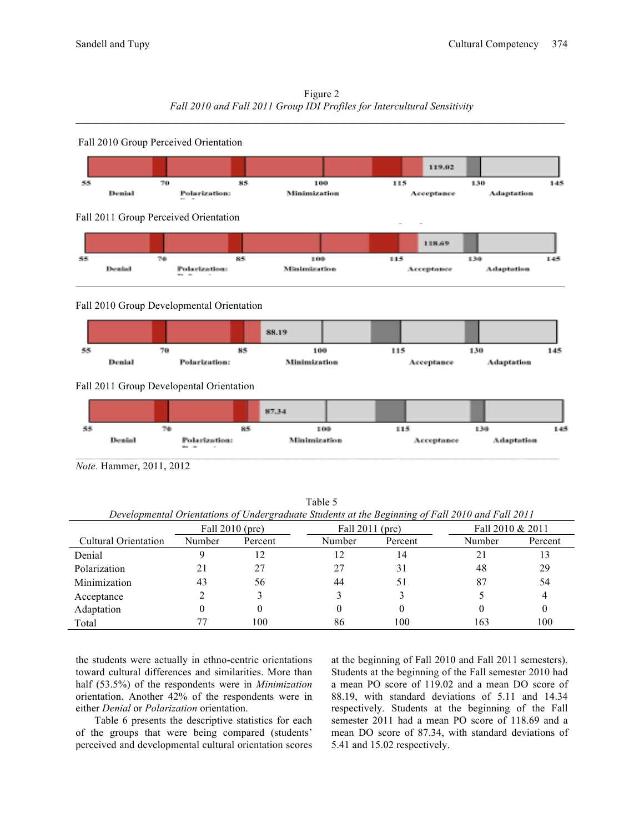| Figure 2                                                                 |
|--------------------------------------------------------------------------|
| Fall 2010 and Fall 2011 Group IDI Profiles for Intercultural Sensitivity |
|                                                                          |



### Fall 2010 Group Developmental Orientation



 $\mathcal{L}_\mathcal{L} = \mathcal{L}_\mathcal{L}$ 

### Fall 2011 Group Developental Orientation



*Note.* Hammer, 2011, 2012

Table 5 *Developmental Orientations of Undergraduate Students at the Beginning of Fall 2010 and Fall 2011*

| $\sim$<br>$\sim$            |                   |         |                 |         |                  |         |  |  |  |
|-----------------------------|-------------------|---------|-----------------|---------|------------------|---------|--|--|--|
|                             | Fall $2010$ (pre) |         | Fall 2011 (pre) |         | Fall 2010 & 2011 |         |  |  |  |
| <b>Cultural Orientation</b> | Number            | Percent | Number          | Percent | Number           | Percent |  |  |  |
| Denial                      |                   | 12      |                 | 14      | 2                | 13      |  |  |  |
| Polarization                | 21                | 27      | 27              |         | 48               | 29      |  |  |  |
| Minimization                | 43                | 56      | 44              | 51      | 87               | 54      |  |  |  |
| Acceptance                  |                   |         |                 |         |                  |         |  |  |  |
| Adaptation                  |                   |         |                 |         |                  | O       |  |  |  |
| Total                       |                   | 100     | 86              | 100     | 163              | 100     |  |  |  |

the students were actually in ethno-centric orientations toward cultural differences and similarities. More than half (53.5%) of the respondents were in *Minimization* orientation. Another 42% of the respondents were in either *Denial* or *Polarization* orientation.

Table 6 presents the descriptive statistics for each of the groups that were being compared (students' perceived and developmental cultural orientation scores at the beginning of Fall 2010 and Fall 2011 semesters). Students at the beginning of the Fall semester 2010 had a mean PO score of 119.02 and a mean DO score of 88.19, with standard deviations of 5.11 and 14.34 respectively. Students at the beginning of the Fall semester 2011 had a mean PO score of 118.69 and a mean DO score of 87.34, with standard deviations of 5.41 and 15.02 respectively.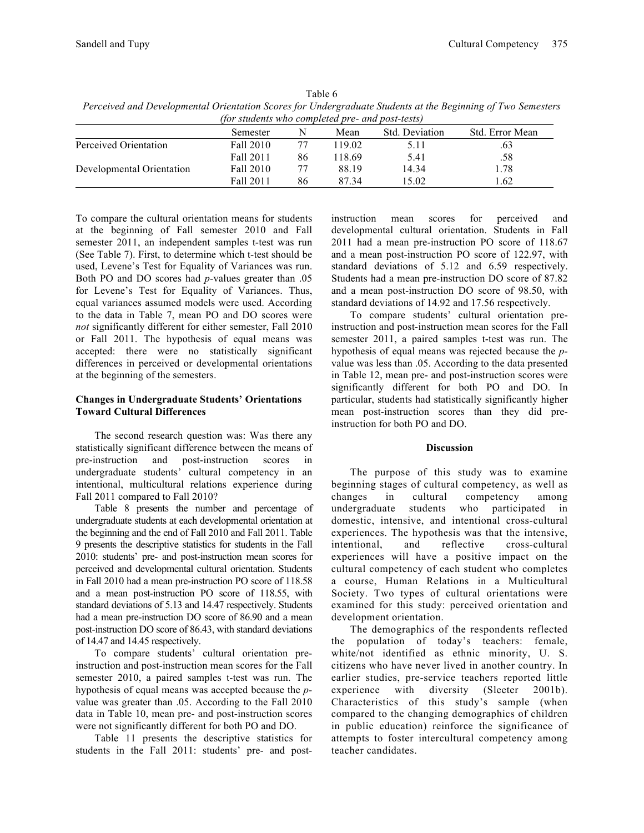| Table 6                                                                                                     |
|-------------------------------------------------------------------------------------------------------------|
| Perceived and Developmental Orientation Scores for Undergraduate Students at the Beginning of Two Semesters |
| <i>(for students who completed pre- and post-tests)</i>                                                     |

|                           | Semester  | N  | Mean  | Std. Deviation | Std. Error Mean |
|---------------------------|-----------|----|-------|----------------|-----------------|
| Perceived Orientation     | Fall 2010 |    | 19.02 | 5.11           |                 |
|                           | Fall 2011 | 86 | 18.69 | 5.41           | .58             |
| Developmental Orientation | Fall 2010 |    | 88.19 | 14.34          | 1.78            |
|                           | Fall 2011 | 86 | 87 34 | 15.02          | l.62            |

To compare the cultural orientation means for students at the beginning of Fall semester 2010 and Fall semester 2011, an independent samples t-test was run (See Table 7). First, to determine which t-test should be used, Levene's Test for Equality of Variances was run. Both PO and DO scores had *p*-values greater than .05 for Levene's Test for Equality of Variances. Thus, equal variances assumed models were used. According to the data in Table 7, mean PO and DO scores were *not* significantly different for either semester, Fall 2010 or Fall 2011. The hypothesis of equal means was accepted: there were no statistically significant differences in perceived or developmental orientations at the beginning of the semesters.

### **Changes in Undergraduate Students' Orientations Toward Cultural Differences**

The second research question was: Was there any statistically significant difference between the means of pre-instruction and post-instruction scores in undergraduate students' cultural competency in an intentional, multicultural relations experience during Fall 2011 compared to Fall 2010?

Table 8 presents the number and percentage of undergraduate students at each developmental orientation at the beginning and the end of Fall 2010 and Fall 2011. Table 9 presents the descriptive statistics for students in the Fall 2010: students' pre- and post-instruction mean scores for perceived and developmental cultural orientation. Students in Fall 2010 had a mean pre-instruction PO score of 118.58 and a mean post-instruction PO score of 118.55, with standard deviations of 5.13 and 14.47 respectively. Students had a mean pre-instruction DO score of 86.90 and a mean post-instruction DO score of 86.43, with standard deviations of 14.47 and 14.45 respectively.

To compare students' cultural orientation preinstruction and post-instruction mean scores for the Fall semester 2010, a paired samples t-test was run. The hypothesis of equal means was accepted because the *p*value was greater than .05. According to the Fall 2010 data in Table 10, mean pre- and post-instruction scores were not significantly different for both PO and DO.

Table 11 presents the descriptive statistics for students in the Fall 2011: students' pre- and postinstruction mean scores for perceived and developmental cultural orientation. Students in Fall 2011 had a mean pre-instruction PO score of 118.67 and a mean post-instruction PO score of 122.97, with standard deviations of 5.12 and 6.59 respectively. Students had a mean pre-instruction DO score of 87.82 and a mean post-instruction DO score of 98.50, with standard deviations of 14.92 and 17.56 respectively.

To compare students' cultural orientation preinstruction and post-instruction mean scores for the Fall semester 2011, a paired samples t-test was run. The hypothesis of equal means was rejected because the *p*value was less than .05. According to the data presented in Table 12, mean pre- and post-instruction scores were significantly different for both PO and DO. In particular, students had statistically significantly higher mean post-instruction scores than they did preinstruction for both PO and DO.

### **Discussion**

The purpose of this study was to examine beginning stages of cultural competency, as well as changes in cultural competency among undergraduate students who participated in domestic, intensive, and intentional cross-cultural experiences. The hypothesis was that the intensive, intentional, and reflective cross-cultural experiences will have a positive impact on the cultural competency of each student who completes a course, Human Relations in a Multicultural Society. Two types of cultural orientations were examined for this study: perceived orientation and development orientation.

The demographics of the respondents reflected the population of today's teachers: female, white/not identified as ethnic minority, U. S. citizens who have never lived in another country. In earlier studies, pre-service teachers reported little experience with diversity (Sleeter 2001b). experience with diversity (Sleeter Characteristics of this study's sample (when compared to the changing demographics of children in public education) reinforce the significance of attempts to foster intercultural competency among teacher candidates.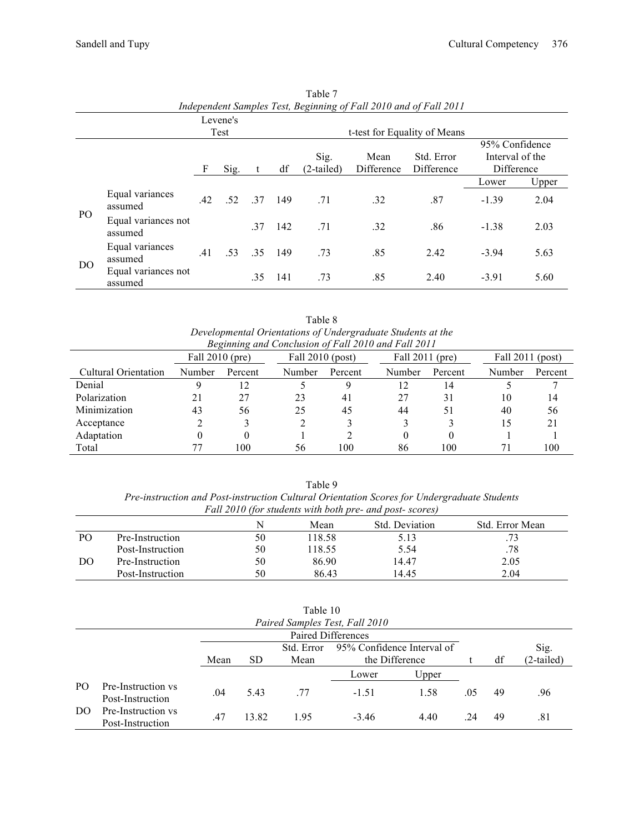|                | Independent Samples Test, Beginning of Fall 2010 and of Fall 2011 |     |       |     |                    |                    |                          |                                                 |         |       |  |  |
|----------------|-------------------------------------------------------------------|-----|-------|-----|--------------------|--------------------|--------------------------|-------------------------------------------------|---------|-------|--|--|
|                | Levene's                                                          |     |       |     |                    |                    |                          |                                                 |         |       |  |  |
|                |                                                                   |     | Test  |     |                    |                    |                          | t-test for Equality of Means                    |         |       |  |  |
| F<br>Sig.      |                                                                   |     |       | df  | Sig.<br>(2-tailed) | Mean<br>Difference | Std. Error<br>Difference | 95% Confidence<br>Interval of the<br>Difference |         |       |  |  |
|                |                                                                   |     |       |     |                    |                    |                          |                                                 | Lower   | Upper |  |  |
| PO.            | Equal variances<br>assumed                                        | .42 | 52 37 |     | 149                | .71                | .32                      | .87                                             | $-1.39$ | 2.04  |  |  |
|                | Equal variances not<br>assumed                                    |     |       | .37 | 142                | .71                | .32                      | .86                                             | $-1.38$ | 2.03  |  |  |
| D <sub>O</sub> | Equal variances<br>assumed                                        | .41 | .53   | 35  | - 149              | .73                | .85                      | 2.42                                            | $-3.94$ | 5.63  |  |  |
|                | Equal variances not<br>assumed                                    |     |       | .35 | -141               | .73                | .85                      | 2.40                                            | $-3.91$ | 5.60  |  |  |

Table 7<br>st Reginning *Independent Samples Test, Beginning of Fall 2010 and of Fall 2011*

Table 8 *Developmental Orientations of Undergraduate Students at the Beginning and Conclusion of Fall 2010 and Fall 2011*

| Degining and Concusion of Fau 2010 and Fau 2011<br>Fall 2010 (pre) |                   | Fall $2010$ (post) |        | Fall $2011$ (pre) |        |         | Fall $2011$ (post) |         |
|--------------------------------------------------------------------|-------------------|--------------------|--------|-------------------|--------|---------|--------------------|---------|
| Cultural Orientation                                               | Number<br>Percent |                    | Number | Percent           | Number | Percent | Number             | Percent |
| Denial                                                             |                   | 12                 |        |                   | 12     | 14      |                    |         |
| Polarization                                                       | 21                | 27                 | 23     | 41                | 27     | 31      | 10                 | 14      |
| Minimization                                                       | 43                | 56                 | 25     | 45                | 44     | 51      | 40                 | 56      |
| Acceptance                                                         |                   |                    |        |                   |        |         | 15                 | 21      |
| Adaptation                                                         |                   | 0                  |        |                   | 0      |         |                    |         |
| Total                                                              |                   | 100                | 56     | 100               | 86     | 100     |                    | 100     |

Table 9 *Pre-instruction and Post-instruction Cultural Orientation Scores for Undergraduate Students Fall 2010 (for students with both pre- and post- scores)*

|    |                  | N  | Mean   | Std. Deviation | Std. Error Mean |  |  |
|----|------------------|----|--------|----------------|-----------------|--|--|
| PO | Pre-Instruction  | 50 | 118.58 | 5.13           | .73             |  |  |
|    | Post-Instruction | 50 | 18.55  | 5.54           | .78             |  |  |
| DO | Pre-Instruction  | 50 | 86.90  | 14.47          | 2.05            |  |  |
|    | Post-Instruction | 50 | 86.43  | 14.45          | 2.04            |  |  |

|                                |                                        |      |                    | l'able 10          |                                              |       |     |    |                      |
|--------------------------------|----------------------------------------|------|--------------------|--------------------|----------------------------------------------|-------|-----|----|----------------------|
| Paired Samples Test, Fall 2010 |                                        |      |                    |                    |                                              |       |     |    |                      |
|                                |                                        |      | Paired Differences |                    |                                              |       |     |    |                      |
|                                |                                        | Mean | <b>SD</b>          | Std. Error<br>Mean | 95% Confidence Interval of<br>the Difference |       |     | df | Sig.<br>$(2-tailed)$ |
|                                |                                        |      |                    |                    | Lower                                        | Upper |     |    |                      |
| P <sub>O</sub>                 | Pre-Instruction vs<br>Post-Instruction | .04  | 5.43               | 77                 | $-1.51$                                      | 1.58  | .05 | 49 | .96                  |
| DO                             | Pre-Instruction vs<br>Post-Instruction | .47  | 13.82              | 1.95               | $-3.46$                                      | 4.40  | .24 | 49 | .81                  |

Table 10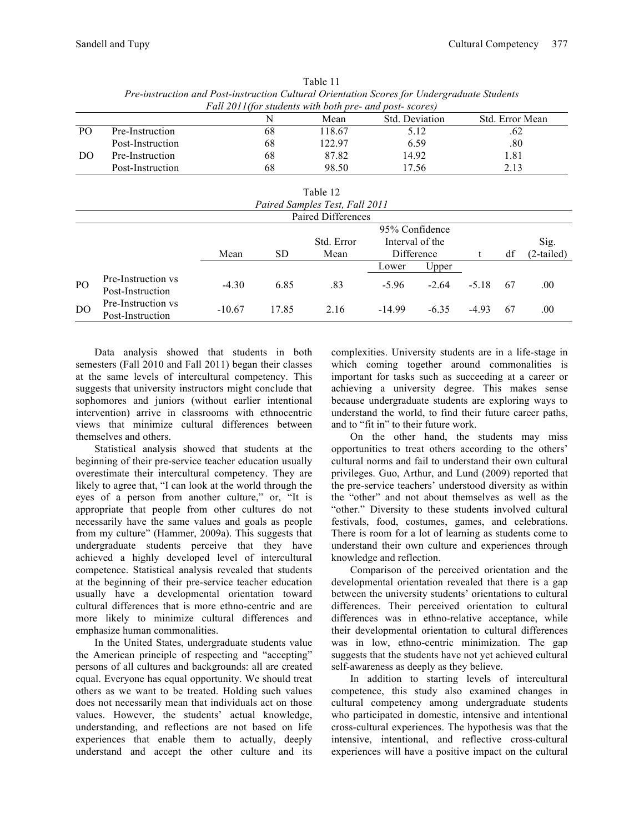|                                           | rre-instruction and rost-instruction Cuttural Orientation Scores for Undergraduate Students |    |        |       |      |  |  |  |  |  |
|-------------------------------------------|---------------------------------------------------------------------------------------------|----|--------|-------|------|--|--|--|--|--|
|                                           | Fall 2011 (for students with both pre- and post-scores)                                     |    |        |       |      |  |  |  |  |  |
| Std. Deviation<br>Std. Error Mean<br>Mean |                                                                                             |    |        |       |      |  |  |  |  |  |
| PO.                                       | Pre-Instruction                                                                             | 68 | 118.67 | 5.12  | .62  |  |  |  |  |  |
|                                           | Post-Instruction                                                                            | 68 | 122.97 | 6.59  | .80  |  |  |  |  |  |
| DO                                        | Pre-Instruction                                                                             | 68 | 87.82  | 14.92 | 1.81 |  |  |  |  |  |
|                                           | Post-Instruction                                                                            | 68 | 98.50  | 17.56 | 2.13 |  |  |  |  |  |

Table 11 *Pre-instruction and Post-instruction Cultural Orientation Scores for Undergraduate Students* 

|                |                                        |                |       | Table 12   |                 |         |         |    |              |  |
|----------------|----------------------------------------|----------------|-------|------------|-----------------|---------|---------|----|--------------|--|
|                | Paired Samples Test, Fall 2011         |                |       |            |                 |         |         |    |              |  |
|                | Paired Differences                     |                |       |            |                 |         |         |    |              |  |
|                |                                        | 95% Confidence |       |            |                 |         |         |    |              |  |
|                |                                        |                |       | Std. Error | Interval of the |         |         |    | Sig.         |  |
|                |                                        | Mean           | SD.   | Mean       | Difference      |         |         | df | $(2-tailed)$ |  |
|                |                                        |                |       |            | Lower           | Upper   |         |    |              |  |
| P <sub>O</sub> | Pre-Instruction vs<br>Post-Instruction | $-4.30$        | 6.85  | .83        | $-5.96$         | $-2.64$ | $-5.18$ | 67 | .00.         |  |
| D <sub>O</sub> | Pre-Instruction vs<br>Post-Instruction | $-10.67$       | 17.85 | 2.16       | $-14.99$        | $-6.35$ | $-4.93$ | 67 | .00          |  |

Data analysis showed that students in both semesters (Fall 2010 and Fall 2011) began their classes at the same levels of intercultural competency. This suggests that university instructors might conclude that sophomores and juniors (without earlier intentional intervention) arrive in classrooms with ethnocentric views that minimize cultural differences between themselves and others.

Statistical analysis showed that students at the beginning of their pre-service teacher education usually overestimate their intercultural competency. They are likely to agree that, "I can look at the world through the eyes of a person from another culture," or, "It is appropriate that people from other cultures do not necessarily have the same values and goals as people from my culture" (Hammer, 2009a). This suggests that undergraduate students perceive that they have achieved a highly developed level of intercultural competence. Statistical analysis revealed that students at the beginning of their pre-service teacher education usually have a developmental orientation toward cultural differences that is more ethno-centric and are more likely to minimize cultural differences and emphasize human commonalities.

In the United States, undergraduate students value the American principle of respecting and "accepting" persons of all cultures and backgrounds: all are created equal. Everyone has equal opportunity. We should treat others as we want to be treated. Holding such values does not necessarily mean that individuals act on those values. However, the students' actual knowledge, understanding, and reflections are not based on life experiences that enable them to actually, deeply understand and accept the other culture and its

complexities. University students are in a life-stage in which coming together around commonalities is important for tasks such as succeeding at a career or achieving a university degree. This makes sense because undergraduate students are exploring ways to understand the world, to find their future career paths, and to "fit in" to their future work.

On the other hand, the students may miss opportunities to treat others according to the others' cultural norms and fail to understand their own cultural privileges. Guo, Arthur, and Lund (2009) reported that the pre-service teachers' understood diversity as within the "other" and not about themselves as well as the "other." Diversity to these students involved cultural festivals, food, costumes, games, and celebrations. There is room for a lot of learning as students come to understand their own culture and experiences through knowledge and reflection.

Comparison of the perceived orientation and the developmental orientation revealed that there is a gap between the university students' orientations to cultural differences. Their perceived orientation to cultural differences was in ethno-relative acceptance, while their developmental orientation to cultural differences was in low, ethno-centric minimization. The gap suggests that the students have not yet achieved cultural self-awareness as deeply as they believe.

In addition to starting levels of intercultural competence, this study also examined changes in cultural competency among undergraduate students who participated in domestic, intensive and intentional cross-cultural experiences. The hypothesis was that the intensive, intentional, and reflective cross-cultural experiences will have a positive impact on the cultural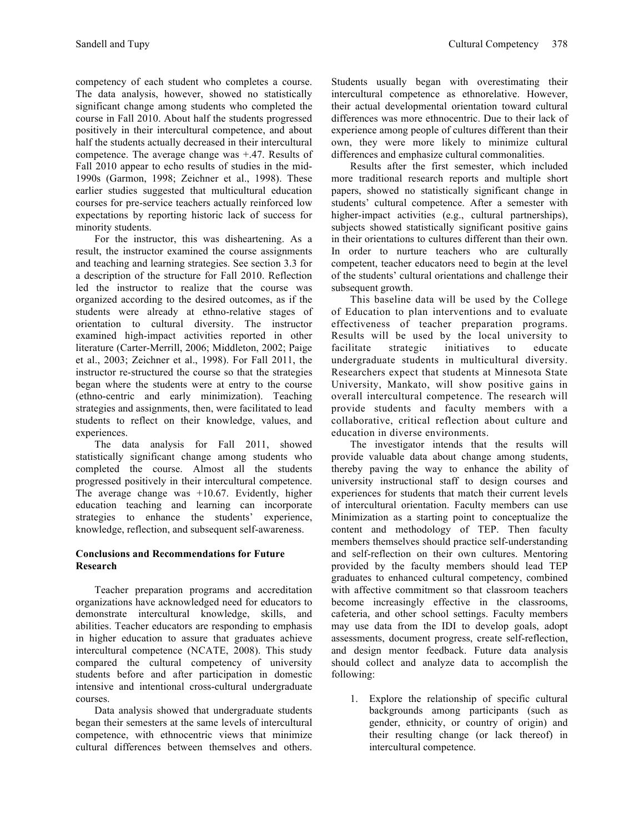competency of each student who completes a course. The data analysis, however, showed no statistically significant change among students who completed the course in Fall 2010. About half the students progressed positively in their intercultural competence, and about half the students actually decreased in their intercultural competence. The average change was +.47. Results of Fall 2010 appear to echo results of studies in the mid-1990s (Garmon, 1998; Zeichner et al., 1998). These earlier studies suggested that multicultural education courses for pre-service teachers actually reinforced low expectations by reporting historic lack of success for minority students.

For the instructor, this was disheartening. As a result, the instructor examined the course assignments and teaching and learning strategies. See section 3.3 for a description of the structure for Fall 2010. Reflection led the instructor to realize that the course was organized according to the desired outcomes, as if the students were already at ethno-relative stages of orientation to cultural diversity. The instructor examined high-impact activities reported in other literature (Carter-Merrill, 2006; Middleton, 2002; Paige et al., 2003; Zeichner et al., 1998). For Fall 2011, the instructor re-structured the course so that the strategies began where the students were at entry to the course (ethno-centric and early minimization). Teaching strategies and assignments, then, were facilitated to lead students to reflect on their knowledge, values, and experiences.

The data analysis for Fall 2011, showed statistically significant change among students who completed the course. Almost all the students progressed positively in their intercultural competence. The average change was +10.67. Evidently, higher education teaching and learning can incorporate strategies to enhance the students' experience, knowledge, reflection, and subsequent self-awareness.

# **Conclusions and Recommendations for Future Research**

Teacher preparation programs and accreditation organizations have acknowledged need for educators to demonstrate intercultural knowledge, skills, and abilities. Teacher educators are responding to emphasis in higher education to assure that graduates achieve intercultural competence (NCATE, 2008). This study compared the cultural competency of university students before and after participation in domestic intensive and intentional cross-cultural undergraduate courses.

Data analysis showed that undergraduate students began their semesters at the same levels of intercultural competence, with ethnocentric views that minimize cultural differences between themselves and others.

Students usually began with overestimating their intercultural competence as ethnorelative. However, their actual developmental orientation toward cultural differences was more ethnocentric. Due to their lack of experience among people of cultures different than their own, they were more likely to minimize cultural differences and emphasize cultural commonalities.

Results after the first semester, which included more traditional research reports and multiple short papers, showed no statistically significant change in students' cultural competence. After a semester with higher-impact activities (e.g., cultural partnerships), subjects showed statistically significant positive gains in their orientations to cultures different than their own. In order to nurture teachers who are culturally competent, teacher educators need to begin at the level of the students' cultural orientations and challenge their subsequent growth.

This baseline data will be used by the College of Education to plan interventions and to evaluate effectiveness of teacher preparation programs. Results will be used by the local university to facilitate strategic initiatives to educate undergraduate students in multicultural diversity. Researchers expect that students at Minnesota State University, Mankato, will show positive gains in overall intercultural competence. The research will provide students and faculty members with a collaborative, critical reflection about culture and education in diverse environments.

The investigator intends that the results will provide valuable data about change among students, thereby paving the way to enhance the ability of university instructional staff to design courses and experiences for students that match their current levels of intercultural orientation. Faculty members can use Minimization as a starting point to conceptualize the content and methodology of TEP. Then faculty members themselves should practice self-understanding and self-reflection on their own cultures. Mentoring provided by the faculty members should lead TEP graduates to enhanced cultural competency, combined with affective commitment so that classroom teachers become increasingly effective in the classrooms, cafeteria, and other school settings. Faculty members may use data from the IDI to develop goals, adopt assessments, document progress, create self-reflection, and design mentor feedback. Future data analysis should collect and analyze data to accomplish the following:

1. Explore the relationship of specific cultural backgrounds among participants (such as gender, ethnicity, or country of origin) and their resulting change (or lack thereof) in intercultural competence.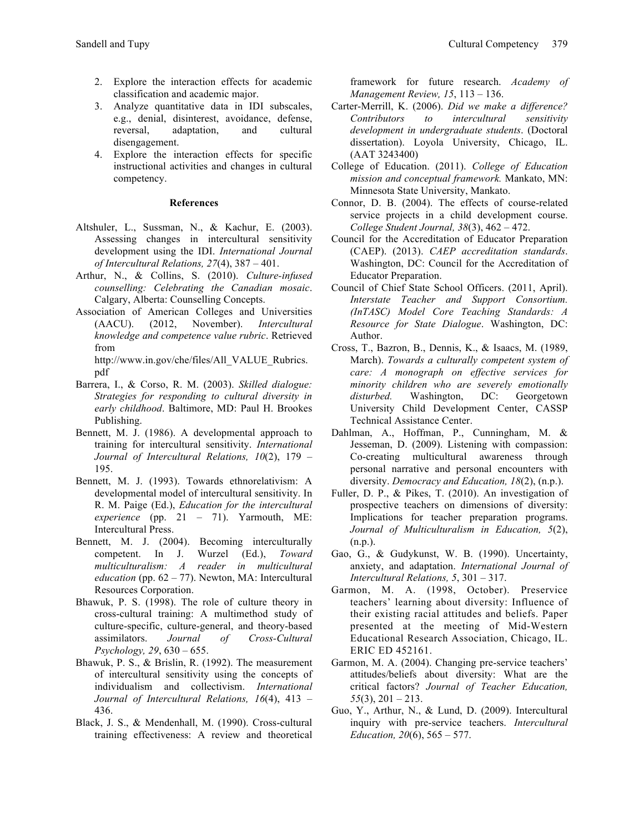- 2. Explore the interaction effects for academic classification and academic major.
- 3. Analyze quantitative data in IDI subscales, e.g., denial, disinterest, avoidance, defense, reversal, adaptation, and cultural disengagement.
- 4. Explore the interaction effects for specific instructional activities and changes in cultural competency.

### **References**

- Altshuler, L., Sussman, N., & Kachur, E. (2003). Assessing changes in intercultural sensitivity development using the IDI. *International Journal of Intercultural Relations, 27*(4), 387 – 401.
- Arthur, N., & Collins, S. (2010). *Culture-infused counselling: Celebrating the Canadian mosaic*. Calgary, Alberta: Counselling Concepts.
- Association of American Colleges and Universities (AACU). (2012, November). *Intercultural knowledge and competence value rubric*. Retrieved from

http://www.in.gov/che/files/All\_VALUE\_Rubrics. pdf

- Barrera, I., & Corso, R. M. (2003). *Skilled dialogue: Strategies for responding to cultural diversity in early childhood*. Baltimore, MD: Paul H. Brookes Publishing.
- Bennett, M. J. (1986). A developmental approach to training for intercultural sensitivity. *International Journal of Intercultural Relations, 10*(2), 179 – 195.
- Bennett, M. J. (1993). Towards ethnorelativism: A developmental model of intercultural sensitivity. In R. M. Paige (Ed.), *Education for the intercultural experience* (pp. 21 – 71). Yarmouth, ME: Intercultural Press.
- Bennett, M. J. (2004). Becoming interculturally competent. In J. Wurzel (Ed.), *Toward multiculturalism: A reader in multicultural education* (pp. 62 – 77). Newton, MA: Intercultural Resources Corporation.
- Bhawuk, P. S. (1998). The role of culture theory in cross-cultural training: A multimethod study of culture-specific, culture-general, and theory-based assimilators. *Journal of Cross-Cultural Psychology, 29*, 630 – 655.
- Bhawuk, P. S., & Brislin, R. (1992). The measurement of intercultural sensitivity using the concepts of individualism and collectivism. *International Journal of Intercultural Relations, 16*(4), 413 – 436.
- Black, J. S., & Mendenhall, M. (1990). Cross-cultural training effectiveness: A review and theoretical

framework for future research. *Academy of Management Review, 15*, 113 – 136.

- Carter-Merrill, K. (2006). *Did we make a difference? Contributors to intercultural sensitivity development in undergraduate students*. (Doctoral dissertation). Loyola University, Chicago, IL. (AAT 3243400)
- College of Education. (2011). *College of Education mission and conceptual framework.* Mankato, MN: Minnesota State University, Mankato.
- Connor, D. B. (2004). The effects of course-related service projects in a child development course. *College Student Journal, 38*(3), 462 – 472.
- Council for the Accreditation of Educator Preparation (CAEP). (2013). *CAEP accreditation standards*. Washington, DC: Council for the Accreditation of Educator Preparation.
- Council of Chief State School Officers. (2011, April). *Interstate Teacher and Support Consortium. (InTASC) Model Core Teaching Standards: A Resource for State Dialogue*. Washington, DC: Author.
- Cross, T., Bazron, B., Dennis, K., & Isaacs, M. (1989, March). *Towards a culturally competent system of care: A monograph on effective services for minority children who are severely emotionally disturbed.* Washington, DC: Georgetown University Child Development Center, CASSP Technical Assistance Center.
- Dahlman, A., Hoffman, P., Cunningham, M. & Jesseman, D. (2009). Listening with compassion: Co-creating multicultural awareness through personal narrative and personal encounters with diversity. *Democracy and Education, 18*(2), (n.p.).
- Fuller, D. P., & Pikes, T. (2010). An investigation of prospective teachers on dimensions of diversity: Implications for teacher preparation programs. *Journal of Multiculturalism in Education, 5*(2),  $(n.p.).$
- Gao, G., & Gudykunst, W. B. (1990). Uncertainty, anxiety, and adaptation. *International Journal of Intercultural Relations, 5*, 301 – 317.
- Garmon, M. A. (1998, October). Preservice teachers' learning about diversity: Influence of their existing racial attitudes and beliefs. Paper presented at the meeting of Mid-Western Educational Research Association, Chicago, IL. ERIC ED 452161.
- Garmon, M. A. (2004). Changing pre-service teachers' attitudes/beliefs about diversity: What are the critical factors? *Journal of Teacher Education, 55*(3), 201 – 213.
- Guo, Y., Arthur, N., & Lund, D. (2009). Intercultural inquiry with pre-service teachers. *Intercultural Education, 20*(6), 565 – 577.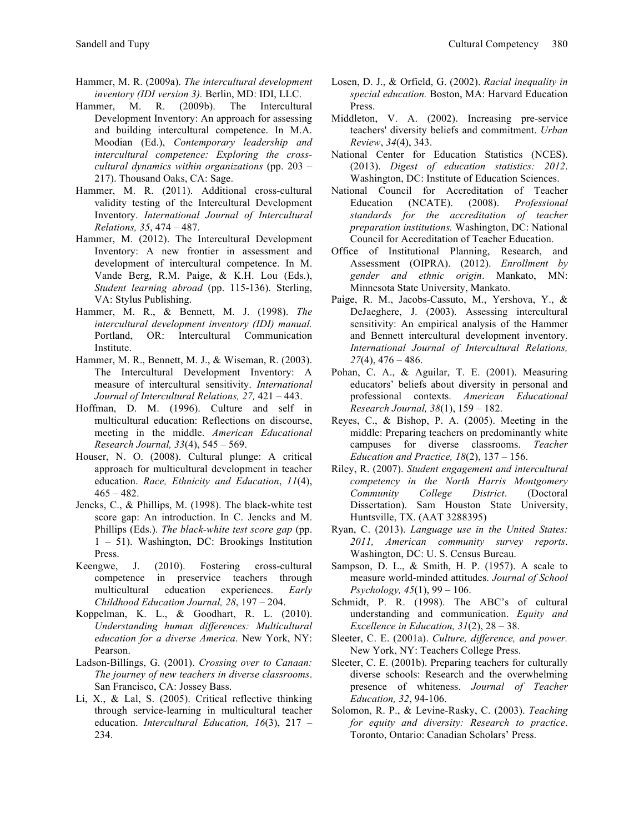- Hammer, M. R. (2009a). *The intercultural development inventory (IDI version 3).* Berlin, MD: IDI, LLC.
- Hammer, M. R. (2009b). The Intercultural Development Inventory: An approach for assessing and building intercultural competence. In M.A. Moodian (Ed.), *Contemporary leadership and intercultural competence: Exploring the crosscultural dynamics within organizations* (pp. 203 – 217). Thousand Oaks, CA: Sage.
- Hammer, M. R. (2011). Additional cross-cultural validity testing of the Intercultural Development Inventory. *International Journal of Intercultural Relations, 35*, 474 – 487.
- Hammer, M. (2012). The Intercultural Development Inventory: A new frontier in assessment and development of intercultural competence. In M. Vande Berg, R.M. Paige, & K.H. Lou (Eds.), *Student learning abroad* (pp. 115-136). Sterling, VA: Stylus Publishing.
- Hammer, M. R., & Bennett, M. J. (1998). *The intercultural development inventory (IDI) manual.* Portland, OR: Intercultural Communication Institute.
- Hammer, M. R., Bennett, M. J., & Wiseman, R. (2003). The Intercultural Development Inventory: A measure of intercultural sensitivity. *International Journal of Intercultural Relations, 27,* 421 – 443.
- Hoffman, D. M. (1996). Culture and self in multicultural education: Reflections on discourse, meeting in the middle. *American Educational Research Journal, 33*(4), 545 – 569.
- Houser, N. O. (2008). Cultural plunge: A critical approach for multicultural development in teacher education. *Race, Ethnicity and Education*, *11*(4),  $465 - 482$ .
- Jencks, C., & Phillips, M. (1998). The black-white test score gap: An introduction. In C. Jencks and M. Phillips (Eds.). *The black-white test score gap* (pp. 1 – 51). Washington, DC: Brookings Institution Press.
- Keengwe, J. (2010). Fostering cross-cultural competence in preservice teachers through multicultural education experiences. *Early Childhood Education Journal, 28*, 197 – 204.
- Koppelman, K. L., & Goodhart, R. L. (2010). *Understanding human differences: Multicultural education for a diverse America*. New York, NY: Pearson.
- Ladson-Billings, G. (2001). *Crossing over to Canaan: The journey of new teachers in diverse classrooms*. San Francisco, CA: Jossey Bass.
- Li, X., & Lal, S. (2005). Critical reflective thinking through service-learning in multicultural teacher education. *Intercultural Education, 16*(3), 217 – 234.
- Losen, D. J., & Orfield, G. (2002). *Racial inequality in special education.* Boston, MA: Harvard Education Press.
- Middleton, V. A. (2002). Increasing pre-service teachers' diversity beliefs and commitment. *Urban Review*, *34*(4), 343.
- National Center for Education Statistics (NCES). (2013). *Digest of education statistics: 2012*. Washington, DC: Institute of Education Sciences.
- National Council for Accreditation of Teacher Education (NCATE). (2008). *Professional standards for the accreditation of teacher preparation institutions.* Washington, DC: National Council for Accreditation of Teacher Education.
- Office of Institutional Planning, Research, and Assessment (OIPRA). (2012). *Enrollment by gender and ethnic origin*. Mankato, MN: Minnesota State University, Mankato.
- Paige, R. M., Jacobs-Cassuto, M., Yershova, Y., & DeJaeghere, J. (2003). Assessing intercultural sensitivity: An empirical analysis of the Hammer and Bennett intercultural development inventory. *International Journal of Intercultural Relations, 27*(4), 476 – 486.
- Pohan, C. A., & Aguilar, T. E. (2001). Measuring educators' beliefs about diversity in personal and professional contexts. *American Educational Research Journal, 38*(1), 159 – 182.
- Reyes, C., & Bishop, P. A. (2005). Meeting in the middle: Preparing teachers on predominantly white campuses for diverse classrooms. *Teacher Education and Practice, 18*(2), 137 – 156.
- Riley, R. (2007). *Student engagement and intercultural competency in the North Harris Montgomery Community College District*. (Doctoral Dissertation). Sam Houston State University, Huntsville, TX. (AAT 3288395)
- Ryan, C. (2013). *Language use in the United States: 2011, American community survey reports*. Washington, DC: U. S. Census Bureau.
- Sampson, D. L., & Smith, H. P. (1957). A scale to measure world-minded attitudes. *Journal of School Psychology, 45*(1), 99 – 106.
- Schmidt, P. R. (1998). The ABC's of cultural understanding and communication. *Equity and Excellence in Education, 31*(2), 28 – 38.
- Sleeter, C. E. (2001a). *Culture, difference, and power.* New York, NY: Teachers College Press.
- Sleeter, C. E. (2001b). Preparing teachers for culturally diverse schools: Research and the overwhelming presence of whiteness. *Journal of Teacher Education, 32*, 94-106.
- Solomon, R. P., & Levine-Rasky, C. (2003). *Teaching for equity and diversity: Research to practice*. Toronto, Ontario: Canadian Scholars' Press.